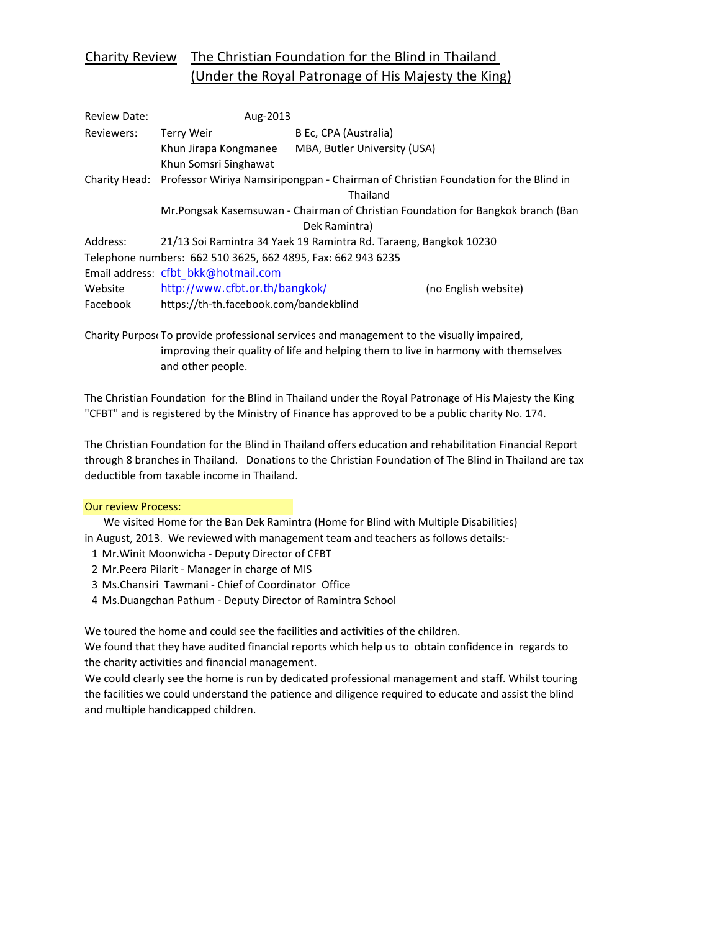# Charity Review The Christian Foundation for the Blind in Thailand (Under the Royal Patronage of His Majesty the King)

| <b>Review Date:</b> | Aug-2013                                                                                          |                              |                      |
|---------------------|---------------------------------------------------------------------------------------------------|------------------------------|----------------------|
| Reviewers:          | Terry Weir                                                                                        | B Ec, CPA (Australia)        |                      |
|                     | Khun Jirapa Kongmanee                                                                             | MBA, Butler University (USA) |                      |
|                     | Khun Somsri Singhawat                                                                             |                              |                      |
|                     | Charity Head: Professor Wiriya Namsiripongpan - Chairman of Christian Foundation for the Blind in |                              |                      |
|                     |                                                                                                   | Thailand                     |                      |
|                     | Mr.Pongsak Kasemsuwan - Chairman of Christian Foundation for Bangkok branch (Ban                  |                              |                      |
|                     |                                                                                                   | Dek Ramintra)                |                      |
| Address:            | 21/13 Soi Ramintra 34 Yaek 19 Ramintra Rd. Taraeng, Bangkok 10230                                 |                              |                      |
|                     | Telephone numbers: 662 510 3625, 662 4895, Fax: 662 943 6235                                      |                              |                      |
|                     | Email address: cfbt_bkk@hotmail.com                                                               |                              |                      |
| Website             | http://www.cfbt.or.th/bangkok/                                                                    |                              | (no English website) |
| Facebook            | https://th-th.facebook.com/bandekblind                                                            |                              |                      |

Charity Purpose To provide professional services and management to the visually impaired, improving their quality of life and helping them to live in harmony with themselves and other people.

The Christian Foundation for the Blind in Thailand under the Royal Patronage of His Majesty the King "CFBT" and is registered by the Ministry of Finance has approved to be a public charity No. 174.

The Christian Foundation for the Blind in Thailand offers education and rehabilitation Financial Report through 8 branches in Thailand. Donations to the Christian Foundation of The Blind in Thailand are tax deductible from taxable income in Thailand.

#### Our review Process:

 We visited Home for the Ban Dek Ramintra (Home for Blind with Multiple Disabilities) in August, 2013. We reviewed with management team and teachers as follows details:-

- 1 Mr.Winit Moonwicha ‐ Deputy Director of CFBT
- 2 Mr.Peera Pilarit ‐ Manager in charge of MIS
- 3 Ms.Chansiri Tawmani ‐ Chief of Coordinator Office
- 4 Ms.Duangchan Pathum ‐ Deputy Director of Ramintra School

We toured the home and could see the facilities and activities of the children.

We found that they have audited financial reports which help us to obtain confidence in regards to the charity activities and financial management.

We could clearly see the home is run by dedicated professional management and staff. Whilst touring the facilities we could understand the patience and diligence required to educate and assist the blind and multiple handicapped children.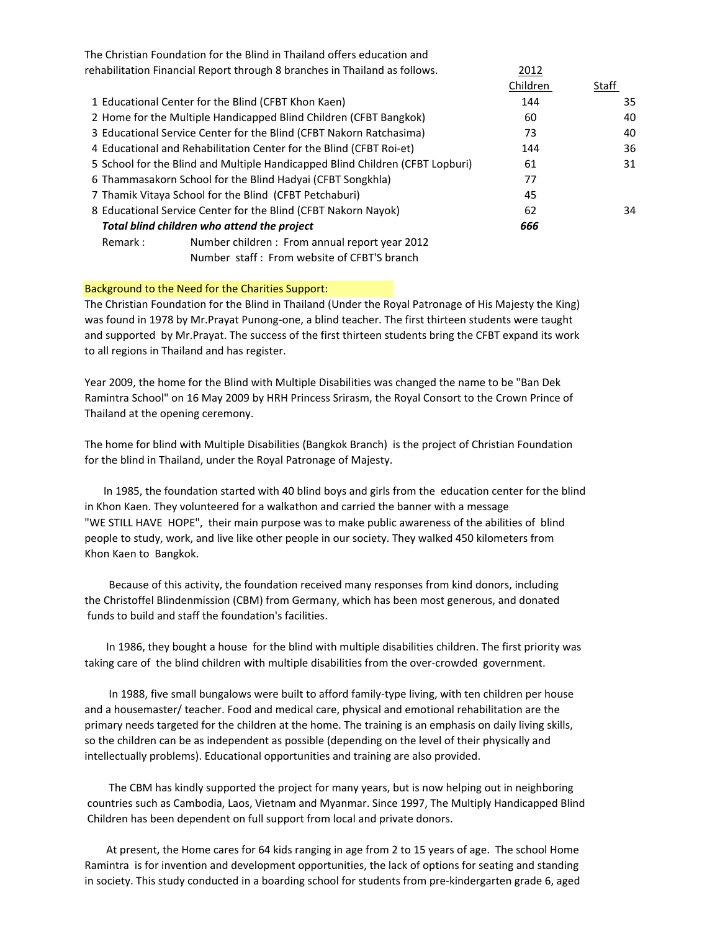|                                                                               | The Christian Foundation for the Blind in Thailand offers education and |          |       |
|-------------------------------------------------------------------------------|-------------------------------------------------------------------------|----------|-------|
| rehabilitation Financial Report through 8 branches in Thailand as follows.    |                                                                         | 2012     |       |
|                                                                               |                                                                         | Children | Staff |
|                                                                               | 1 Educational Center for the Blind (CFBT Khon Kaen)                     | 144      | 35    |
| 2 Home for the Multiple Handicapped Blind Children (CFBT Bangkok)             |                                                                         | 60       | 40    |
| 3 Educational Service Center for the Blind (CFBT Nakorn Ratchasima)           |                                                                         | 73       | 40    |
| 4 Educational and Rehabilitation Center for the Blind (CFBT Roi-et)           |                                                                         | 144      | 36    |
| 5 School for the Blind and Multiple Handicapped Blind Children (CFBT Lopburi) |                                                                         | 61       | 31    |
| 6 Thammasakorn School for the Blind Hadyai (CFBT Songkhla)                    |                                                                         | 77       |       |
|                                                                               | 7 Thamik Vitaya School for the Blind (CFBT Petchaburi)                  | 45       |       |
| 8 Educational Service Center for the Blind (CFBT Nakorn Nayok)                |                                                                         | 62       | 34    |
| Total blind children who attend the project                                   |                                                                         | 666      |       |
| Remark :                                                                      | Number children: From annual report year 2012                           |          |       |

Number staff : From website of CFBT'S branch

#### Background to the Need for the Charities Support:

The Christian Foundation for the Blind in Thailand (Under the Royal Patronage of His Majesty the King) was found in 1978 by Mr.Prayat Punong-one, a blind teacher. The first thirteen students were taught and supported by Mr.Prayat. The success of the first thirteen students bring the CFBT expand its work to all regions in Thailand and has register.

Year 2009, the home for the Blind with Multiple Disabilities was changed the name to be "Ban Dek Ramintra School" on 16 May 2009 by HRH Princess Srirasm, the Royal Consort to the Crown Prince of Thailand at the opening ceremony.

The home for blind with Multiple Disabilities (Bangkok Branch) is the project of Christian Foundation for the blind in Thailand, under the Royal Patronage of Majesty.

 In 1985, the foundation started with 40 blind boys and girls from the education center for the blind in Khon Kaen. They volunteered for a walkathon and carried the banner with a message "WE STILL HAVE HOPE", their main purpose was to make public awareness of the abilities of blind people to study, work, and live like other people in our society. They walked 450 kilometers from Khon Kaen to Bangkok.

 Because of this activity, the foundation received many responses from kind donors, including the Christoffel Blindenmission (CBM) from Germany, which has been most generous, and donated funds to build and staff the foundation's facilities.

 In 1986, they bought a house for the blind with multiple disabilities children. The first priority was taking care of the blind children with multiple disabilities from the over-crowded government.

 In 1988, five small bungalows were built to afford family‐type living, with ten children per house and a housemaster/ teacher. Food and medical care, physical and emotional rehabilitation are the primary needs targeted for the children at the home. The training is an emphasis on daily living skills, so the children can be as independent as possible (depending on the level of their physically and intellectually problems). Educational opportunities and training are also provided.

 The CBM has kindly supported the project for many years, but is now helping out in neighboring countries such as Cambodia, Laos, Vietnam and Myanmar. Since 1997, The Multiply Handicapped Blind Children has been dependent on full support from local and private donors.

 At present, the Home cares for 64 kids ranging in age from 2 to 15 years of age. The school Home Ramintra is for invention and development opportunities, the lack of options for seating and standing in society. This study conducted in a boarding school for students from pre‐kindergarten grade 6, aged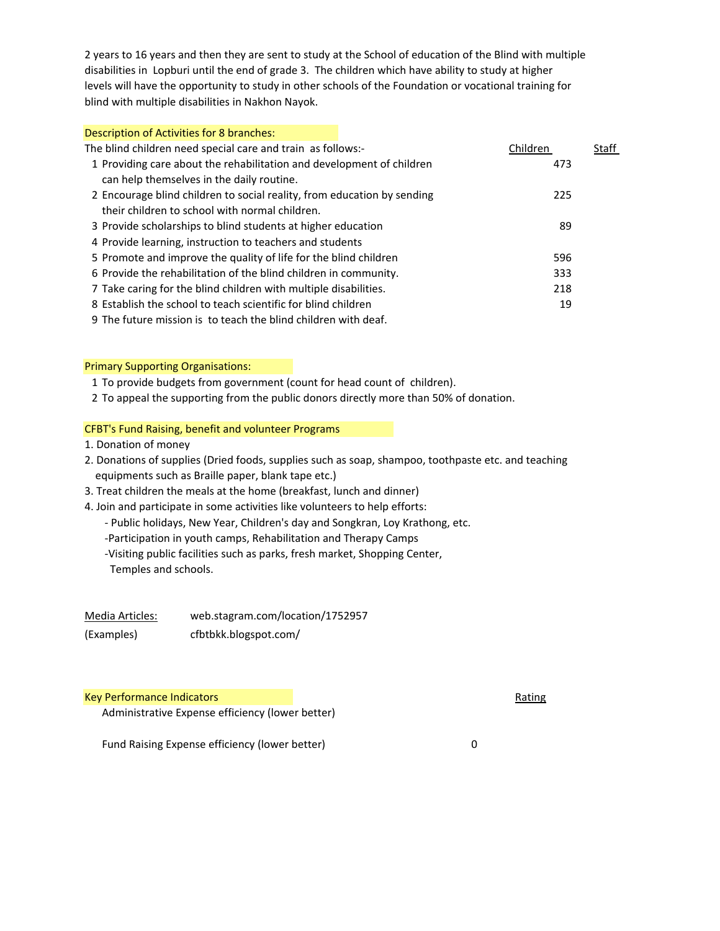2 years to 16 years and then they are sent to study at the School of education of the Blind with multiple disabilities in Lopburi until the end of grade 3. The children which have ability to study at higher levels will have the opportunity to study in other schools of the Foundation or vocational training for blind with multiple disabilities in Nakhon Nayok.

| Description of Activities for 8 branches:                               |          |       |
|-------------------------------------------------------------------------|----------|-------|
| The blind children need special care and train as follows:-             | Children | Staff |
| 1 Providing care about the rehabilitation and development of children   | 473      |       |
| can help themselves in the daily routine.                               |          |       |
| 2 Encourage blind children to social reality, from education by sending | 225      |       |
| their children to school with normal children.                          |          |       |
| 3 Provide scholarships to blind students at higher education            | 89       |       |
| 4 Provide learning, instruction to teachers and students                |          |       |
| 5 Promote and improve the quality of life for the blind children        | 596      |       |
| 6 Provide the rehabilitation of the blind children in community.        | 333      |       |
| 7 Take caring for the blind children with multiple disabilities.        | 218      |       |
| 8 Establish the school to teach scientific for blind children           | 19       |       |
| 9 The future mission is to teach the blind children with deaf.          |          |       |

#### Primary Supporting Organisations:

- 1 To provide budgets from government (count for head count of children).
- 2 To appeal the supporting from the public donors directly more than 50% of donation.

### CFBT's Fund Raising, benefit and volunteer Programs

- 1. Donation of money
- 2. Donations of supplies (Dried foods, supplies such as soap, shampoo, toothpaste etc. and teaching equipments such as Braille paper, blank tape etc.)
- 3. Treat children the meals at the home (breakfast, lunch and dinner)
- 4. Join and participate in some activities like volunteers to help efforts:
	- ‐ Public holidays, New Year, Children's day and Songkran, Loy Krathong, etc.
	- ‐Participation in youth camps, Rehabilitation and Therapy Camps
	- ‐Visiting public facilities such as parks, fresh market, Shopping Center, Temples and schools.

| Media Articles: | web.stagram.com/location/1752957 |
|-----------------|----------------------------------|
| (Examples)      | cfbtbkk.blogspot.com/            |

## Key Performance Indicators **Rating Science Indicators** Rating Rating Rating Rating Rating Rating Rating Rating Rating Rating Rating Rating Rating Rating Rating Rating Rating Rating Rating Rating Rating Rating Rating Rating

Administrative Expense efficiency (lower better)

Fund Raising Expense efficiency (lower better) 0